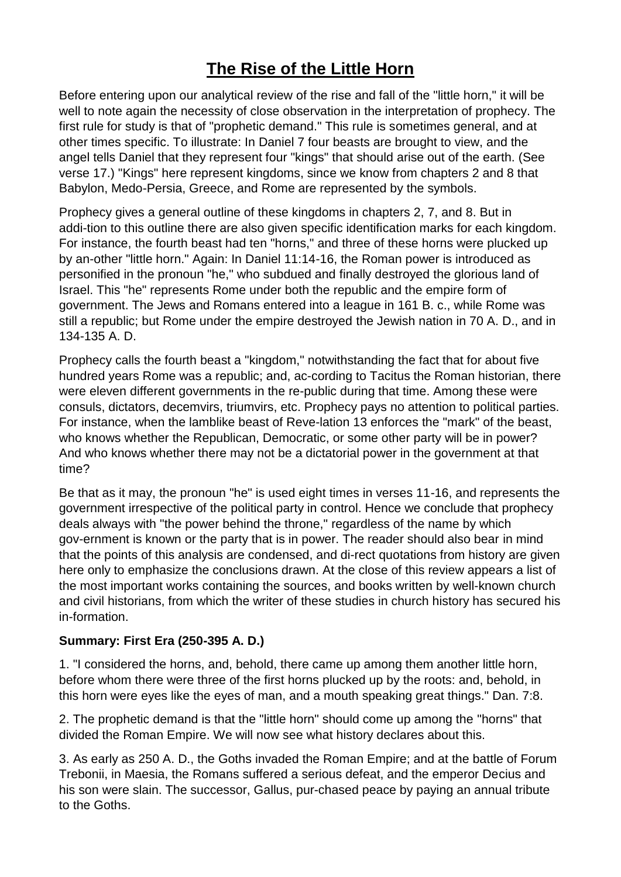# **The Rise of the Little Horn**

Before entering upon our analytical review of the rise and fall of the "little horn," it will be well to note again the necessity of close observation in the interpretation of prophecy. The first rule for study is that of "prophetic demand." This rule is sometimes general, and at other times specific. To illustrate: In Daniel 7 four beasts are brought to view, and the angel tells Daniel that they represent four "kings" that should arise out of the earth. (See verse 17.) "Kings" here represent kingdoms, since we know from chapters 2 and 8 that Babylon, Medo-Persia, Greece, and Rome are represented by the symbols.

Prophecy gives a general outline of these kingdoms in chapters 2, 7, and 8. But in addi-tion to this outline there are also given specific identification marks for each kingdom. For instance, the fourth beast had ten "horns," and three of these horns were plucked up by an-other "little horn." Again: In Daniel 11:14-16, the Roman power is introduced as personified in the pronoun "he," who subdued and finally destroyed the glorious land of Israel. This "he" represents Rome under both the republic and the empire form of government. The Jews and Romans entered into a league in 161 B. c., while Rome was still a republic; but Rome under the empire destroyed the Jewish nation in 70 A. D., and in 134-135 A. D.

Prophecy calls the fourth beast a "kingdom," notwithstanding the fact that for about five hundred years Rome was a republic; and, ac-cording to Tacitus the Roman historian, there were eleven different governments in the re-public during that time. Among these were consuls, dictators, decemvirs, triumvirs, etc. Prophecy pays no attention to political parties. For instance, when the lamblike beast of Reve-lation 13 enforces the "mark" of the beast, who knows whether the Republican, Democratic, or some other party will be in power? And who knows whether there may not be a dictatorial power in the government at that time?

Be that as it may, the pronoun "he" is used eight times in verses 11-16, and represents the government irrespective of the political party in control. Hence we conclude that prophecy deals always with "the power behind the throne," regardless of the name by which gov-ernment is known or the party that is in power. The reader should also bear in mind that the points of this analysis are condensed, and di-rect quotations from history are given here only to emphasize the conclusions drawn. At the close of this review appears a list of the most important works containing the sources, and books written by well-known church and civil historians, from which the writer of these studies in church history has secured his in-formation.

### **Summary: First Era (250-395 A. D.)**

1. "I considered the horns, and, behold, there came up among them another little horn, before whom there were three of the first horns plucked up by the roots: and, behold, in this horn were eyes like the eyes of man, and a mouth speaking great things." Dan. 7:8.

2. The prophetic demand is that the "little horn" should come up among the "horns" that divided the Roman Empire. We will now see what history declares about this.

3. As early as 250 A. D., the Goths invaded the Roman Empire; and at the battle of Forum Trebonii, in Maesia, the Romans suffered a serious defeat, and the emperor Decius and his son were slain. The successor, Gallus, pur-chased peace by paying an annual tribute to the Goths.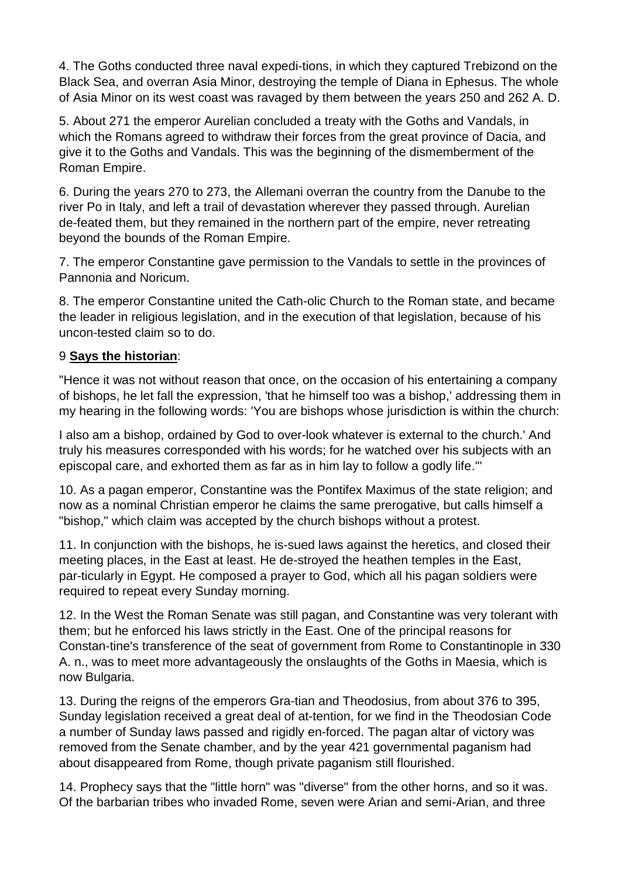4. The Goths conducted three naval expedi-tions, in which they captured Trebizond on the Black Sea, and overran Asia Minor, destroying the temple of Diana in Ephesus. The whole of Asia Minor on its west coast was ravaged by them between the years 250 and 262 A. D.

5. About 271 the emperor Aurelian concluded a treaty with the Goths and Vandals, in which the Romans agreed to withdraw their forces from the great province of Dacia, and give it to the Goths and Vandals. This was the beginning of the dismemberment of the Roman Empire.

6. During the years 270 to 273, the Allemani overran the country from the Danube to the river Po in Italy, and left a trail of devastation wherever they passed through. Aurelian de-feated them, but they remained in the northern part of the empire, never retreating beyond the bounds of the Roman Empire.

7. The emperor Constantine gave permission to the Vandals to settle in the provinces of Pannonia and Noricum.

8. The emperor Constantine united the Cath-olic Church to the Roman state, and became the leader in religious legislation, and in the execution of that legislation, because of his uncon-tested claim so to do.

### 9 **Says the historian**:

"Hence it was not without reason that once, on the occasion of his entertaining a company of bishops, he let fall the expression, 'that he himself too was a bishop,' addressing them in my hearing in the following words: 'You are bishops whose jurisdiction is within the church:

I also am a bishop, ordained by God to over-look whatever is external to the church.' And truly his measures corresponded with his words; for he watched over his subjects with an episcopal care, and exhorted them as far as in him lay to follow a godly life."'

10. As a pagan emperor, Constantine was the Pontifex Maximus of the state religion; and now as a nominal Christian emperor he claims the same prerogative, but calls himself a "bishop," which claim was accepted by the church bishops without a protest.

11. In conjunction with the bishops, he is-sued laws against the heretics, and closed their meeting places, in the East at least. He de-stroyed the heathen temples in the East, par-ticularly in Egypt. He composed a prayer to God, which all his pagan soldiers were required to repeat every Sunday morning.

12. In the West the Roman Senate was still pagan, and Constantine was very tolerant with them; but he enforced his laws strictly in the East. One of the principal reasons for Constan-tine's transference of the seat of government from Rome to Constantinople in 330 A. n., was to meet more advantageously the onslaughts of the Goths in Maesia, which is now Bulgaria.

13. During the reigns of the emperors Gra-tian and Theodosius, from about 376 to 395, Sunday legislation received a great deal of at-tention, for we find in the Theodosian Code a number of Sunday laws passed and rigidly en-forced. The pagan altar of victory was removed from the Senate chamber, and by the year 421 governmental paganism had about disappeared from Rome, though private paganism still flourished.

14. Prophecy says that the "little horn" was "diverse" from the other horns, and so it was. Of the barbarian tribes who invaded Rome, seven were Arian and semi-Arian, and three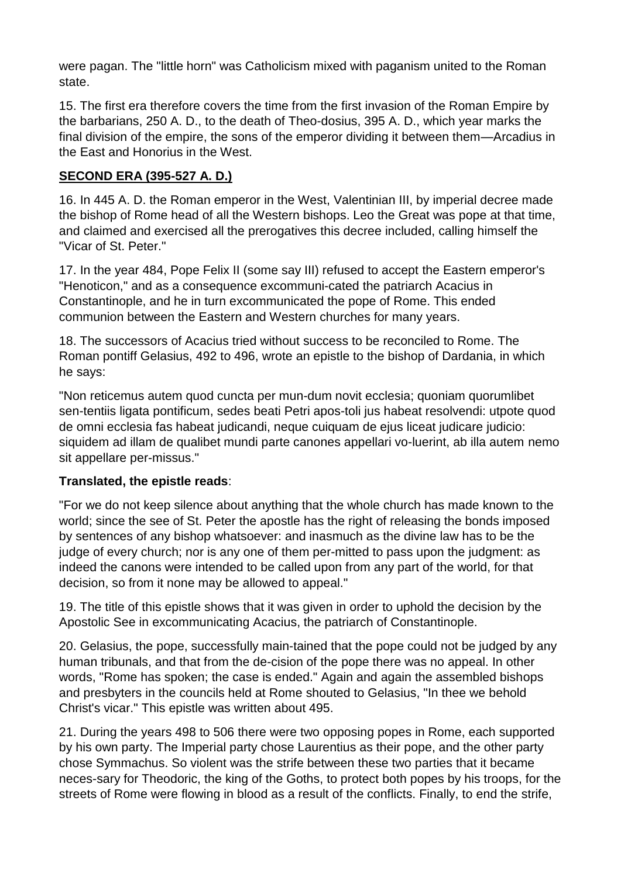were pagan. The "little horn" was Catholicism mixed with paganism united to the Roman state.

15. The first era therefore covers the time from the first invasion of the Roman Empire by the barbarians, 250 A. D., to the death of Theo-dosius, 395 A. D., which year marks the final division of the empire, the sons of the emperor dividing it between them—Arcadius in the East and Honorius in the West.

## **SECOND ERA (395-527 A. D.)**

16. In 445 A. D. the Roman emperor in the West, Valentinian III, by imperial decree made the bishop of Rome head of all the Western bishops. Leo the Great was pope at that time, and claimed and exercised all the prerogatives this decree included, calling himself the "Vicar of St. Peter."

17. In the year 484, Pope Felix II (some say III) refused to accept the Eastern emperor's "Henoticon," and as a consequence excommuni-cated the patriarch Acacius in Constantinople, and he in turn excommunicated the pope of Rome. This ended communion between the Eastern and Western churches for many years.

18. The successors of Acacius tried without success to be reconciled to Rome. The Roman pontiff Gelasius, 492 to 496, wrote an epistle to the bishop of Dardania, in which he says:

"Non reticemus autem quod cuncta per mun-dum novit ecclesia; quoniam quorumlibet sen-tentiis ligata pontificum, sedes beati Petri apos-toli jus habeat resolvendi: utpote quod de omni ecclesia fas habeat judicandi, neque cuiquam de ejus liceat judicare judicio: siquidem ad illam de qualibet mundi parte canones appellari vo-luerint, ab illa autem nemo sit appellare per-missus."

### **Translated, the epistle reads**:

"For we do not keep silence about anything that the whole church has made known to the world; since the see of St. Peter the apostle has the right of releasing the bonds imposed by sentences of any bishop whatsoever: and inasmuch as the divine law has to be the judge of every church; nor is any one of them per-mitted to pass upon the judgment: as indeed the canons were intended to be called upon from any part of the world, for that decision, so from it none may be allowed to appeal."

19. The title of this epistle shows that it was given in order to uphold the decision by the Apostolic See in excommunicating Acacius, the patriarch of Constantinople.

20. Gelasius, the pope, successfully main-tained that the pope could not be judged by any human tribunals, and that from the de-cision of the pope there was no appeal. In other words, "Rome has spoken; the case is ended." Again and again the assembled bishops and presbyters in the councils held at Rome shouted to Gelasius, "In thee we behold Christ's vicar." This epistle was written about 495.

21. During the years 498 to 506 there were two opposing popes in Rome, each supported by his own party. The Imperial party chose Laurentius as their pope, and the other party chose Symmachus. So violent was the strife between these two parties that it became neces-sary for Theodoric, the king of the Goths, to protect both popes by his troops, for the streets of Rome were flowing in blood as a result of the conflicts. Finally, to end the strife,